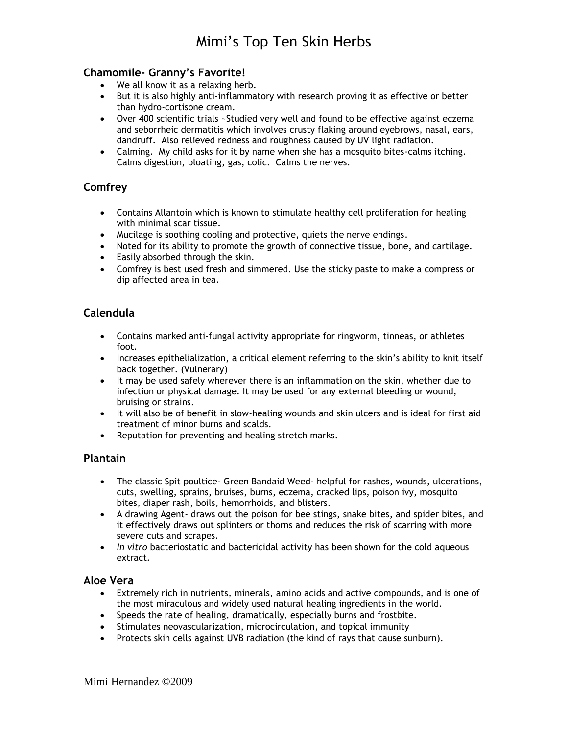## **Chamomile- Granny's Favorite!**

- We all know it as a relaxing herb.
- But it is also highly anti-inflammatory with research proving it as effective or better than hydro-cortisone cream.
- Over 400 scientific trials ~Studied very well and found to be effective against eczema and seborrheic dermatitis which involves crusty flaking around eyebrows, nasal, ears, dandruff. Also relieved redness and roughness caused by UV light radiation.
- Calming. My child asks for it by name when she has a mosquito bites-calms itching. Calms digestion, bloating, gas, colic. Calms the nerves.

# **Comfrey**

- Contains Allantoin which is known to stimulate healthy cell proliferation for healing with minimal scar tissue.
- Mucilage is soothing cooling and protective, quiets the nerve endings.
- Noted for its ability to promote the growth of connective tissue, bone, and cartilage.
- Easily absorbed through the skin.
- Comfrey is best used fresh and simmered. Use the sticky paste to make a compress or dip affected area in tea.

# **Calendula**

- Contains marked anti-fungal activity appropriate for ringworm, tinneas, or athletes foot.
- Increases epithelialization, a critical element referring to the skin's ability to knit itself back together. (Vulnerary)
- It may be used safely wherever there is an inflammation on the skin, whether due to infection or physical damage. It may be used for any external bleeding or wound, bruising or strains.
- It will also be of benefit in slow-healing wounds and skin ulcers and is ideal for first aid treatment of minor burns and scalds.
- Reputation for preventing and healing stretch marks.

### **Plantain**

- The classic Spit poultice- Green Bandaid Weed- helpful for rashes, wounds, ulcerations, cuts, swelling, sprains, bruises, burns, eczema, cracked lips, poison ivy, mosquito bites, diaper rash, boils, hemorrhoids, and blisters.
- A drawing Agent- draws out the poison for bee stings, snake bites, and spider bites, and it effectively draws out splinters or thorns and reduces the risk of scarring with more severe cuts and scrapes.
- *In vitro* bacteriostatic and bactericidal activity has been shown for the cold aqueous extract.

#### **Aloe Vera**

- Extremely rich in nutrients, minerals, amino acids and active compounds, and is one of the most miraculous and widely used natural healing ingredients in the world.
- Speeds the rate of healing, dramatically, especially burns and frostbite.
- Stimulates neovascularization, microcirculation, and topical immunity
- Protects skin cells against UVB radiation (the kind of rays that cause sunburn).